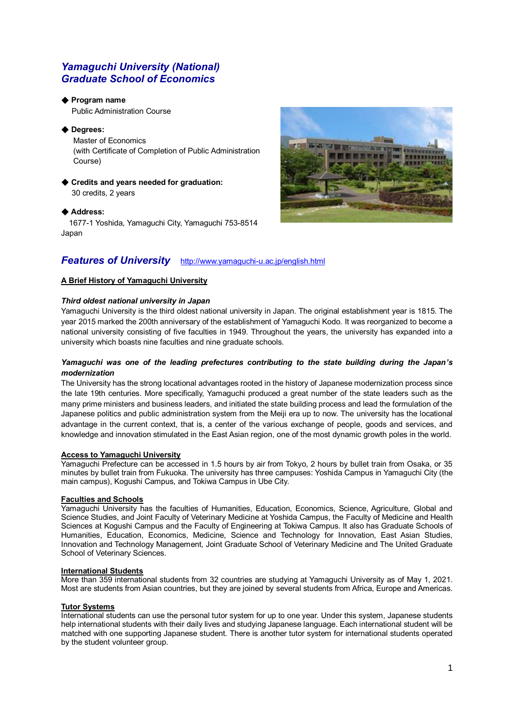# *Yamaguchi University (National) Graduate School of Economics*

## ◆ **Program name**

Public Administration Course

## ◆ **Degrees:**

Master of Economics (with Certificate of Completion of Public Administration Course)

## ◆ **Credits and years needed for graduation:**  30 credits, 2 years

## ◆ **Address:**

1677-1 Yoshida, Yamaguchi City, Yamaguchi 753-8514 Japan



## **A Brief History of Yamaguchi University**

## *Third oldest national university in Japan*

Yamaguchi University is the third oldest national university in Japan. The original establishment year is 1815. The year 2015 marked the 200th anniversary of the establishment of Yamaguchi Kodo. It was reorganized to become a national university consisting of five faculties in 1949. Throughout the years, the university has expanded into a university which boasts nine faculties and nine graduate schools.

#### *Yamaguchi was one of the leading prefectures contributing to the state building during the Japan's modernization*

The University has the strong locational advantages rooted in the history of Japanese modernization process since the late 19th centuries. More specifically, Yamaguchi produced a great number of the state leaders such as the many prime ministers and business leaders, and initiated the state building process and lead the formulation of the Japanese politics and public administration system from the Meiji era up to now. The university has the locational advantage in the current context, that is, a center of the various exchange of people, goods and services, and knowledge and innovation stimulated in the East Asian region, one of the most dynamic growth poles in the world.

### **Access to Yamaguchi University**

Yamaguchi Prefecture can be accessed in 1.5 hours by air from Tokyo, 2 hours by bullet train from Osaka, or 35 minutes by bullet train from Fukuoka. The university has three campuses: Yoshida Campus in Yamaguchi City (the main campus), Kogushi Campus, and Tokiwa Campus in Ube City.

### **Faculties and Schools**

Yamaguchi University has the faculties of Humanities, Education, Economics, Science, Agriculture, Global and Science Studies, and Joint Faculty of Veterinary Medicine at Yoshida Campus, the Faculty of Medicine and Health Sciences at Kogushi Campus and the Faculty of Engineering at Tokiwa Campus. It also has Graduate Schools of Humanities, Education, Economics, Medicine, Science and Technology for Innovation, East Asian Studies, Innovation and Technology Management, Joint Graduate School of Veterinary Medicine and The United Graduate School of Veterinary Sciences.

### **International Students**

More than 359 international students from 32 countries are studying at Yamaguchi University as of May 1, 2021. Most are students from Asian countries, but they are joined by several students from Africa, Europe and Americas.

#### **Tutor Systems**

International students can use the personal tutor system for up to one year. Under this system, Japanese students help international students with their daily lives and studying Japanese language. Each international student will be matched with one supporting Japanese student. There is another tutor system for international students operated by the student volunteer group.

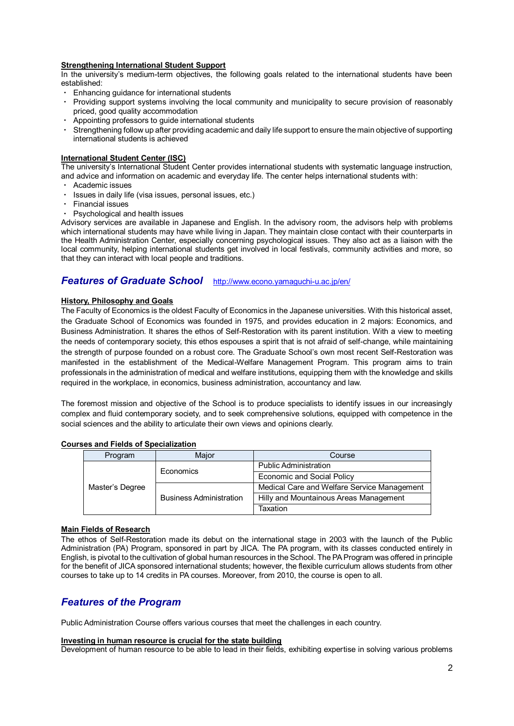#### **Strengthening International Student Support**

In the university's medium-term objectives, the following goals related to the international students have been established:

- Enhancing guidance for international students
- Providing support systems involving the local community and municipality to secure provision of reasonably priced, good quality accommodation
- Appointing professors to quide international students
- Strengthening follow up after providing academic and daily life support to ensure the main objective of supporting international students is achieved

#### **International Student Center (ISC)**

The university's International Student Center provides international students with systematic language instruction, and advice and information on academic and everyday life. The center helps international students with:

- ・ Academic issues
- ・ Issues in daily life (visa issues, personal issues, etc.)
- ・ Financial issues
- Psychological and health issues

Advisory services are available in Japanese and English. In the advisory room, the advisors help with problems which international students may have while living in Japan. They maintain close contact with their counterparts in the Health Administration Center, especially concerning psychological issues. They also act as a liaison with the local community, helping international students get involved in local festivals, community activities and more, so that they can interact with local people and traditions.

# *Features of Graduate School* <http://www.econo.yamaguchi-u.ac.jp/en/>

#### **History, Philosophy and Goals**

The Faculty of Economics is the oldest Faculty of Economics in the Japanese universities. With this historical asset, the Graduate School of Economics was founded in 1975, and provides education in 2 majors: Economics, and Business Administration. It shares the ethos of Self-Restoration with its parent institution. With a view to meeting the needs of contemporary society, this ethos espouses a spirit that is not afraid of self-change, while maintaining the strength of purpose founded on a robust core. The Graduate School's own most recent Self-Restoration was manifested in the establishment of the Medical-Welfare Management Program. This program aims to train professionals in the administration of medical and welfare institutions, equipping them with the knowledge and skills required in the workplace, in economics, business administration, accountancy and law.

The foremost mission and objective of the School is to produce specialists to identify issues in our increasingly complex and fluid contemporary society, and to seek comprehensive solutions, equipped with competence in the social sciences and the ability to articulate their own views and opinions clearly.

| Program         | Major                          | Course                                      |
|-----------------|--------------------------------|---------------------------------------------|
| Master's Degree | Economics                      | <b>Public Administration</b>                |
|                 |                                | <b>Economic and Social Policy</b>           |
|                 |                                | Medical Care and Welfare Service Management |
|                 | <b>Business Administration</b> | Hilly and Mountainous Areas Management      |
|                 |                                | Taxation                                    |

#### **Courses and Fields of Specialization**

#### **Main Fields of Research**

The ethos of Self-Restoration made its debut on the international stage in 2003 with the launch of the Public Administration (PA) Program, sponsored in part by JICA. The PA program, with its classes conducted entirely in English, is pivotal to the cultivation of global human resources in the School. The PA Program was offered in principle for the benefit of JICA sponsored international students; however, the flexible curriculum allows students from other courses to take up to 14 credits in PA courses. Moreover, from 2010, the course is open to all.

# *Features of the Program*

Public Administration Course offers various courses that meet the challenges in each country.

#### **Investing in human resource is crucial for the state building**

Development of human resource to be able to lead in their fields, exhibiting expertise in solving various problems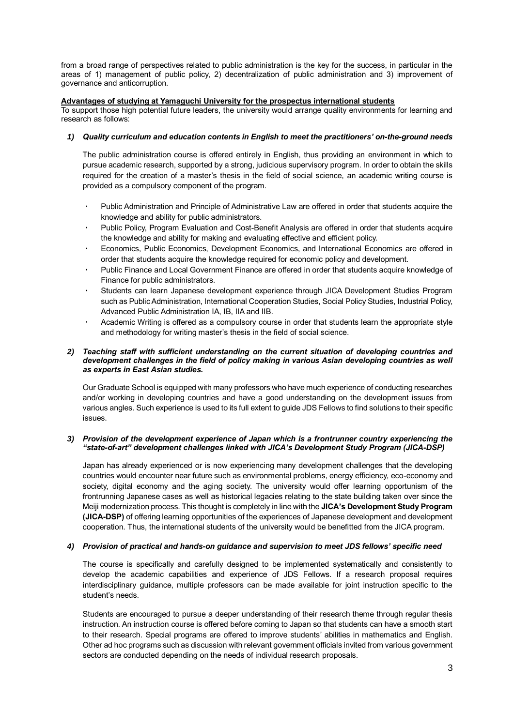from a broad range of perspectives related to public administration is the key for the success, in particular in the areas of 1) management of public policy, 2) decentralization of public administration and 3) improvement of governance and anticorruption.

#### **Advantages of studying at Yamaguchi University for the prospectus international students**

To support those high potential future leaders, the university would arrange quality environments for learning and research as follows:

### *1) Quality curriculum and education contents in English to meet the practitioners' on-the-ground needs*

The public administration course is offered entirely in English, thus providing an environment in which to pursue academic research, supported by a strong, judicious supervisory program. In order to obtain the skills required for the creation of a master's thesis in the field of social science, an academic writing course is provided as a compulsory component of the program.

- Public Administration and Principle of Administrative Law are offered in order that students acquire the knowledge and ability for public administrators.
- Public Policy, Program Evaluation and Cost-Benefit Analysis are offered in order that students acquire the knowledge and ability for making and evaluating effective and efficient policy.
- ・ Economics, Public Economics, Development Economics, and International Economics are offered in order that students acquire the knowledge required for economic policy and development.
- Public Finance and Local Government Finance are offered in order that students acquire knowledge of Finance for public administrators.
- Students can learn Japanese development experience through JICA Development Studies Program such as Public Administration, International Cooperation Studies, Social Policy Studies, Industrial Policy, Advanced Public Administration IA, IB, IIA and IIB.
- Academic Writing is offered as a compulsory course in order that students learn the appropriate style and methodology for writing master's thesis in the field of social science.

#### *2) Teaching staff with sufficient understanding on the current situation of developing countries and development challenges in the field of policy making in various Asian developing countries as well as experts in East Asian studies.*

Our Graduate School is equipped with many professors who have much experience of conducting researches and/or working in developing countries and have a good understanding on the development issues from various angles. Such experience is used to its full extent to guide JDS Fellows to find solutions to their specific issues.

#### *3) Provision of the development experience of Japan which is a frontrunner country experiencing the "state-of-art" development challenges linked with JICA's Development Study Program (JICA-DSP)*

Japan has already experienced or is now experiencing many development challenges that the developing countries would encounter near future such as environmental problems, energy efficiency, eco-economy and society, digital economy and the aging society. The university would offer learning opportunism of the frontrunning Japanese cases as well as historical legacies relating to the state building taken over since the Meiji modernization process. This thought is completely in line with the **JICA's Development Study Program (JICA-DSP)** of offering learning opportunities of the experiences of Japanese development and development cooperation. Thus, the international students of the university would be benefitted from the JICA program.

### *4) Provision of practical and hands-on guidance and supervision to meet JDS fellows' specific need*

The course is specifically and carefully designed to be implemented systematically and consistently to develop the academic capabilities and experience of JDS Fellows. If a research proposal requires interdisciplinary guidance, multiple professors can be made available for joint instruction specific to the student's needs.

Students are encouraged to pursue a deeper understanding of their research theme through regular thesis instruction. An instruction course is offered before coming to Japan so that students can have a smooth start to their research. Special programs are offered to improve students' abilities in mathematics and English. Other ad hoc programs such as discussion with relevant government officials invited from various government sectors are conducted depending on the needs of individual research proposals.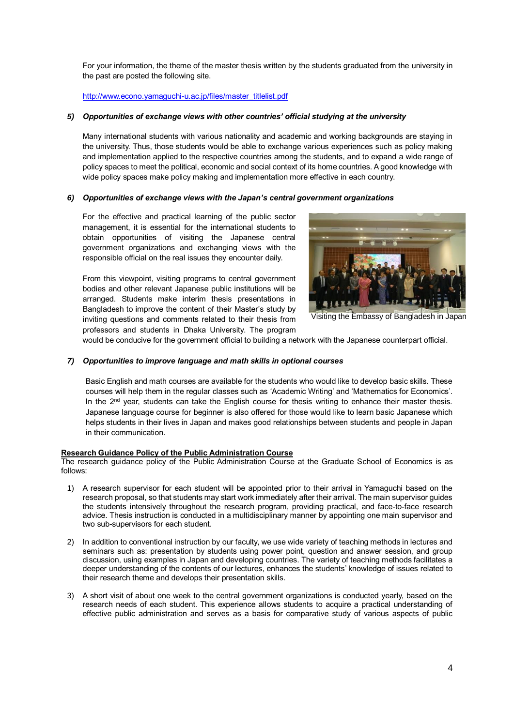For your information, the theme of the master thesis written by the students graduated from the university in the past are posted the following site.

#### [http://www.econo.yamaguchi-u.ac.jp/files/master\\_titlelist.pdf](http://www.econo.yamaguchi-u.ac.jp/files/master_titlelist.pdf)

#### *5) Opportunities of exchange views with other countries' official studying at the university*

Many international students with various nationality and academic and working backgrounds are staying in the university. Thus, those students would be able to exchange various experiences such as policy making and implementation applied to the respective countries among the students, and to expand a wide range of policy spaces to meet the political, economic and social context of its home countries. A good knowledge with wide policy spaces make policy making and implementation more effective in each country.

#### *6) Opportunities of exchange views with the Japan's central government organizations*

For the effective and practical learning of the public sector management, it is essential for the international students to obtain opportunities of visiting the Japanese central government organizations and exchanging views with the responsible official on the real issues they encounter daily.

From this viewpoint, visiting programs to central government bodies and other relevant Japanese public institutions will be arranged. Students make interim thesis presentations in Bangladesh to improve the content of their Master's study by inviting questions and comments related to their thesis from professors and students in Dhaka University. The program



Visiting the Embassy of Bangladesh in Japan

would be conducive for the government official to building a network with the Japanese counterpart official.

#### *7) Opportunities to improve language and math skills in optional courses*

Basic English and math courses are available for the students who would like to develop basic skills. These courses will help them in the regular classes such as 'Academic Writing' and 'Mathematics for Economics'. In the  $2<sup>nd</sup>$  year, students can take the English course for thesis writing to enhance their master thesis. Japanese language course for beginner is also offered for those would like to learn basic Japanese which helps students in their lives in Japan and makes good relationships between students and people in Japan in their communication.

#### **Research Guidance Policy of the Public Administration Course**

The research guidance policy of the Public Administration Course at the Graduate School of Economics is as follows:

- 1) A research supervisor for each student will be appointed prior to their arrival in Yamaguchi based on the research proposal, so that students may start work immediately after their arrival. The main supervisor guides the students intensively throughout the research program, providing practical, and face-to-face research advice. Thesis instruction is conducted in a multidisciplinary manner by appointing one main supervisor and two sub-supervisors for each student.
- 2) In addition to conventional instruction by our faculty, we use wide variety of teaching methods in lectures and seminars such as: presentation by students using power point, question and answer session, and group discussion, using examples in Japan and developing countries. The variety of teaching methods facilitates a deeper understanding of the contents of our lectures, enhances the students' knowledge of issues related to their research theme and develops their presentation skills.
- 3) A short visit of about one week to the central government organizations is conducted yearly, based on the research needs of each student. This experience allows students to acquire a practical understanding of effective public administration and serves as a basis for comparative study of various aspects of public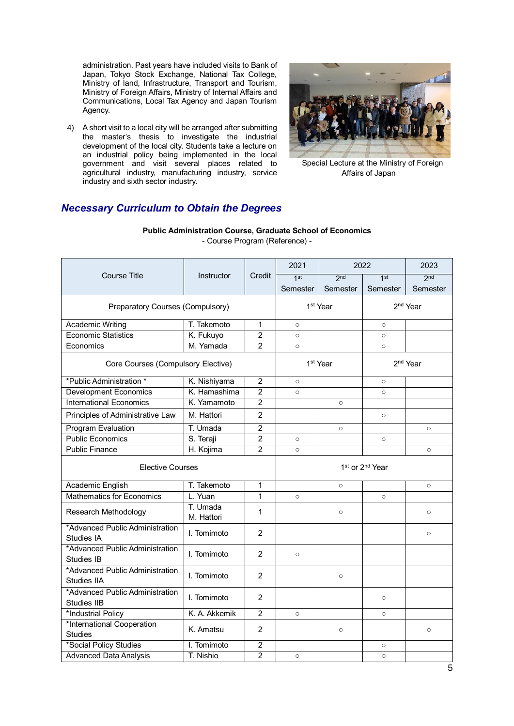administration. Past years have included visits to Bank of Japan, Tokyo Stock Exchange, National Tax College, Ministry of land, Infrastructure, Transport and Tourism, Ministry of Foreign Affairs, Ministry of Internal Affairs and Communications, Local Tax Agency and Japan Tourism Agency.

4) A short visit to a local city will be arranged after submitting the master's thesis to investigate the industrial development of the local city. Students take a lecture on an industrial policy being implemented in the local government and visit several places related to agricultural industry, manufacturing industry, service industry and sixth sector industry.



Special Lecture at the Ministry of Foreign Affairs of Japan

# *Necessary Curriculum to Obtain the Degrees*

|                                                |                        |                | 2021<br>2022 |                      | 2023                                    |                      |
|------------------------------------------------|------------------------|----------------|--------------|----------------------|-----------------------------------------|----------------------|
| <b>Course Title</b>                            | Instructor             | Credit         | 1st          | 2 <sub>nd</sub>      | 1st                                     | 2 <sub>nd</sub>      |
|                                                |                        |                | Semester     | Semester             | Semester                                | Semester             |
| Preparatory Courses (Compulsory)               |                        |                |              | 1 <sup>st</sup> Year |                                         | 2 <sup>nd</sup> Year |
| <b>Academic Writing</b>                        | T. Takemoto            | 1              | $\circ$      |                      | $\circ$                                 |                      |
| <b>Economic Statistics</b>                     | K. Fukuyo              | $\overline{2}$ | $\circ$      |                      | $\circ$                                 |                      |
| Economics                                      | M. Yamada              | 2              | $\circ$      |                      | $\circ$                                 |                      |
| Core Courses (Compulsory Elective)             |                        |                |              | 1 <sup>st</sup> Year |                                         | 2 <sup>nd</sup> Year |
| *Public Administration *                       | K. Nishiyama           | $\overline{2}$ | $\circ$      |                      | $\circ$                                 |                      |
| <b>Development Economics</b>                   | K. Hamashima           | $\overline{2}$ | $\circ$      |                      | $\circ$                                 |                      |
| <b>International Economics</b>                 | K. Yamamoto            | $\overline{2}$ |              | $\Omega$             |                                         |                      |
| Principles of Administrative Law               | M. Hattori             | $\mathfrak{p}$ |              |                      | $\circ$                                 |                      |
| <b>Program Evaluation</b>                      | T. Umada               | $\overline{2}$ |              | $\circ$              |                                         | $\circ$              |
| <b>Public Economics</b>                        | S. Teraji              | $\overline{2}$ | $\circ$      |                      | $\circ$                                 |                      |
| <b>Public Finance</b>                          | H. Kojima              | $\overline{2}$ | $\circ$      |                      |                                         | $\circ$              |
| <b>Elective Courses</b>                        |                        |                |              |                      | 1 <sup>st</sup> or 2 <sup>nd</sup> Year |                      |
| Academic English                               | T. Takemoto            | 1              |              | $\circ$              |                                         | $\circ$              |
| <b>Mathematics for Economics</b>               | L. Yuan                | $\overline{1}$ | $\circ$      |                      | $\circ$                                 |                      |
| Research Methodology                           | T. Umada<br>M. Hattori | 1              |              | $\circ$              |                                         | $\circ$              |
| *Advanced Public Administration<br>Studies IA  | I. Tomimoto            | $\overline{2}$ |              |                      |                                         | $\circ$              |
| *Advanced Public Administration<br>Studies IB  | I. Tomimoto            | 2              | $\circ$      |                      |                                         |                      |
| *Advanced Public Administration<br>Studies IIA | I. Tomimoto            | $\overline{2}$ |              | $\circ$              |                                         |                      |
| *Advanced Public Administration<br>Studies IIB | I. Tomimoto            | $\overline{2}$ |              |                      | $\circ$                                 |                      |
| *Industrial Policy                             | K. A. Akkemik          | $\overline{2}$ | $\circ$      |                      | $\circ$                                 |                      |
| *International Cooperation<br><b>Studies</b>   | K. Amatsu              | $\overline{c}$ |              | $\circ$              |                                         | $\circ$              |
| *Social Policy Studies                         | I. Tomimoto            | $\overline{c}$ |              |                      | $\circ$                                 |                      |
| <b>Advanced Data Analysis</b>                  | T. Nishio              | $\overline{2}$ | $\circ$      |                      | $\circ$                                 |                      |

**Public Administration Course, Graduate School of Economics** - Course Program (Reference) -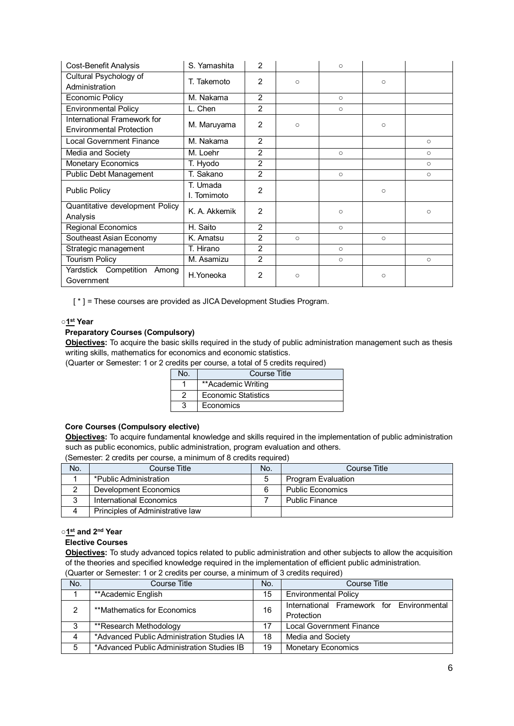| Cost-Benefit Analysis                                          | S. Yamashita            | 2              |          | $\circ$ |         |         |
|----------------------------------------------------------------|-------------------------|----------------|----------|---------|---------|---------|
| Cultural Psychology of<br>Administration                       | T. Takemoto             | $\mathfrak{p}$ | $\Omega$ |         | $\circ$ |         |
| Economic Policy                                                | M. Nakama               | $\overline{2}$ |          | $\circ$ |         |         |
| <b>Environmental Policy</b>                                    | L. Chen                 | $\overline{2}$ |          | $\circ$ |         |         |
| International Framework for<br><b>Environmental Protection</b> | M. Maruyama             | 2              | O        |         | $\circ$ |         |
| <b>Local Government Finance</b>                                | M. Nakama               | 2              |          |         |         | $\circ$ |
| Media and Society                                              | M. Loehr                | $\overline{2}$ |          | $\circ$ |         | O       |
| <b>Monetary Economics</b>                                      | T. Hyodo                | $\overline{2}$ |          |         |         | $\circ$ |
| <b>Public Debt Management</b>                                  | T. Sakano               | $\overline{2}$ |          | $\circ$ |         | $\circ$ |
| <b>Public Policy</b>                                           | T. Umada<br>I. Tomimoto | 2              |          |         | $\circ$ |         |
| Quantitative development Policy<br>Analysis                    | K. A. Akkemik           | $\overline{2}$ |          | $\circ$ |         | O       |
| <b>Regional Economics</b>                                      | H. Saito                | $\overline{2}$ |          | $\circ$ |         |         |
| Southeast Asian Economy                                        | K. Amatsu               | 2              | $\circ$  |         | $\circ$ |         |
| Strategic management                                           | T. Hirano               | $\overline{2}$ |          | $\circ$ |         |         |
| <b>Tourism Policy</b>                                          | M. Asamizu              | $\overline{2}$ |          | $\circ$ |         | $\circ$ |
| Yardstick Competition<br>Among<br>Government                   | H.Yoneoka               | 2              | $\circ$  |         | $\circ$ |         |

[\*] = These courses are provided as JICA Development Studies Program.

#### **○1 st Year**

### **Preparatory Courses (Compulsory)**

**Objectives:** To acquire the basic skills required in the study of public administration management such as thesis writing skills, mathematics for economics and economic statistics.

(Quarter or Semester: 1 or 2 credits per course, a total of 5 credits required)

| No. | Course Title               |
|-----|----------------------------|
|     | **Academic Writing         |
|     | <b>Economic Statistics</b> |
|     | Economics                  |

### **Core Courses (Compulsory elective)**

**Objectives:** To acquire fundamental knowledge and skills required in the implementation of public administration such as public economics, public administration, program evaluation and others.

(Semester: 2 credits per course, a minimum of 8 credits required)

| No. | Course Title                     | No. | Course Title            |
|-----|----------------------------------|-----|-------------------------|
|     | *Public Administration           |     | Program Evaluation      |
|     | Development Economics            |     | <b>Public Economics</b> |
| J   | International Economics          |     | <b>Public Finance</b>   |
|     | Principles of Administrative law |     |                         |

#### ○**1 st and 2 nd Year**

#### **Elective Courses**

**Objectives:** To study advanced topics related to public administration and other subjects to allow the acquisition of the theories and specified knowledge required in the implementation of efficient public administration. (Quarter or Semester: 1 or 2 credits per course, a minimum of 3 credits required)

| No. | Course Title                               | No. | Course Title                                            |
|-----|--------------------------------------------|-----|---------------------------------------------------------|
|     | **Academic English                         | 15  | <b>Environmental Policy</b>                             |
| ◠   | **Mathematics for Economics                | 16  | International Framework for Environmental<br>Protection |
| 3   | **Research Methodology                     | 17  | <b>Local Government Finance</b>                         |
| 4   | *Advanced Public Administration Studies IA | 18  | Media and Society                                       |
| 5   | *Advanced Public Administration Studies IB | 19  | <b>Monetary Economics</b>                               |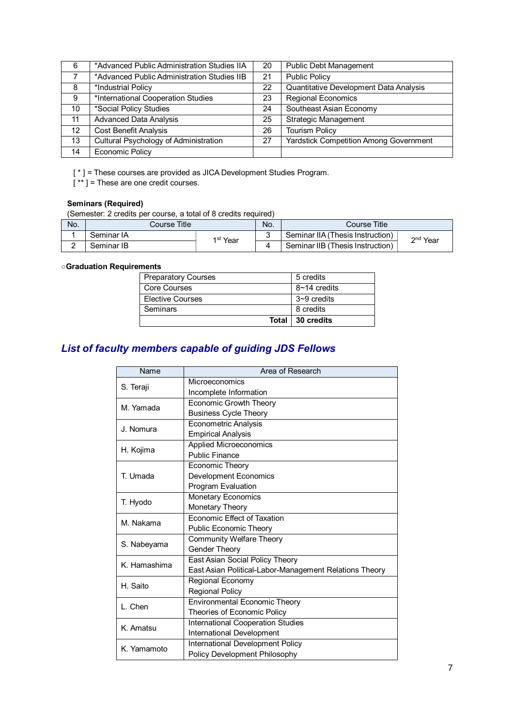| 6  | *Advanced Public Administration Studies IIA | 20 | <b>Public Debt Management</b>                 |
|----|---------------------------------------------|----|-----------------------------------------------|
| 7  | *Advanced Public Administration Studies IIB | 21 | <b>Public Policy</b>                          |
| 8  | *Industrial Policy                          | 22 | Quantitative Development Data Analysis        |
| 9  | *International Cooperation Studies          | 23 | <b>Regional Economics</b>                     |
| 10 | *Social Policy Studies                      | 24 | Southeast Asian Economy                       |
| 11 | <b>Advanced Data Analysis</b>               | 25 | <b>Strategic Management</b>                   |
| 12 | <b>Cost Benefit Analysis</b>                | 26 | <b>Tourism Policy</b>                         |
| 13 | Cultural Psychology of Administration       | 27 | <b>Yardstick Competition Among Government</b> |
| 14 | <b>Economic Policy</b>                      |    |                                               |

[ \* ] = These courses are provided as JICA Development Studies Program.

[\*\*] = These are one credit courses.

# **Seminars (Required)**

(Semester: 2 credits per course, a total of 8 credits required)

| No. | Course Title |                      | No. | Course Title                     |                      |
|-----|--------------|----------------------|-----|----------------------------------|----------------------|
|     | Seminar IA   | 1 <sup>st</sup> Year |     | Seminar IIA (Thesis Instruction) | 2 <sup>nd</sup> Year |
|     | Seminar IB   |                      |     | Seminar IIB (Thesis Instruction) |                      |

## ○**Graduation Requirements**

| <b>Elective Courses</b> | $3 - 9$ credits |
|-------------------------|-----------------|
| <b>Seminars</b>         | 8 credits       |
| Total                   | 30 credits      |

# *List of faculty members capable of guiding JDS Fellows*

| Name         | Area of Research                                       |
|--------------|--------------------------------------------------------|
| S. Teraji    | Microeconomics                                         |
|              | Incomplete Information                                 |
| M. Yamada    | <b>Economic Growth Theory</b>                          |
|              | <b>Business Cycle Theory</b>                           |
| J. Nomura    | <b>Econometric Analysis</b>                            |
|              | <b>Empirical Analysis</b>                              |
| H. Kojima    | Applied Microeconomics                                 |
|              | Public Finance                                         |
|              | Economic Theory                                        |
| T. Umada     | <b>Development Economics</b>                           |
|              | Program Evaluation                                     |
|              | <b>Monetary Economics</b>                              |
| T. Hyodo     | Monetary Theory                                        |
| M. Nakama    | <b>Fconomic Effect of Taxation</b>                     |
|              | <b>Public Economic Theory</b>                          |
| S. Nabeyama  | <b>Community Welfare Theory</b>                        |
|              | <b>Gender Theory</b>                                   |
| K. Hamashima | East Asian Social Policy Theory                        |
|              | East Asian Political-Labor-Management Relations Theory |
| H. Saito     | Regional Economy                                       |
|              | <b>Regional Policy</b>                                 |
| L. Chen      | <b>Environmental Economic Theory</b>                   |
|              | Theories of Economic Policy                            |
| K. Amatsu    | International Cooperation Studies                      |
|              | International Development                              |
| K. Yamamoto  | International Development Policy                       |
|              | Policy Development Philosophy                          |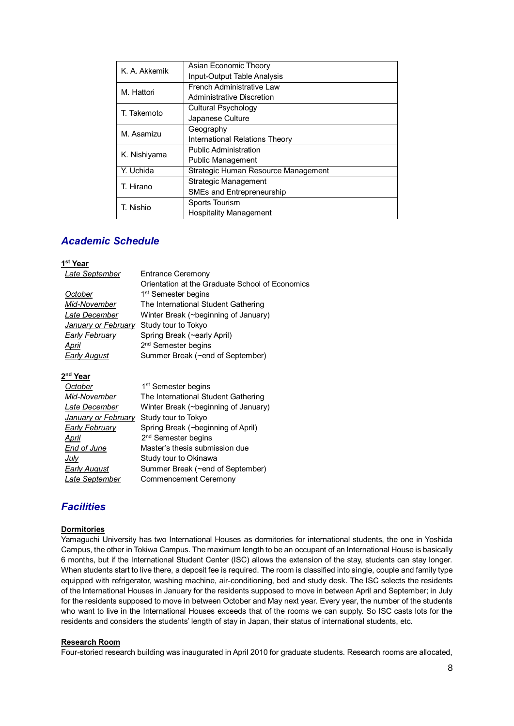| K. A. Akkemik | Asian Economic Theory               |
|---------------|-------------------------------------|
|               | Input-Output Table Analysis         |
| M. Hattori    | French Administrative Law           |
|               | Administrative Discretion           |
| T. Takemoto   | <b>Cultural Psychology</b>          |
|               | Japanese Culture                    |
| M. Asamizu    | Geography                           |
|               | International Relations Theory      |
| K. Nishiyama  | <b>Public Administration</b>        |
|               | <b>Public Management</b>            |
| Y. Uchida     | Strategic Human Resource Management |
| T. Hirano     | Strategic Management                |
|               | <b>SMEs and Entrepreneurship</b>    |
| T. Nishio     | Sports Tourism                      |
|               | <b>Hospitality Management</b>       |

# *Academic Schedule*

#### **1 st Year**

| Late September             | <b>Entrance Ceremony</b>                        |
|----------------------------|-------------------------------------------------|
|                            | Orientation at the Graduate School of Economics |
| October                    | 1 <sup>st</sup> Semester begins                 |
| Mid-November               | The International Student Gathering             |
| Late December              | Winter Break (~beginning of January)            |
| <b>January or February</b> | Study tour to Tokyo                             |
| <b>Early February</b>      | Spring Break (~early April)                     |
| April                      | 2 <sup>nd</sup> Semester begins                 |
| <b>Early August</b>        | Summer Break (~end of September)                |

### **2 nd Year**

| October               | 1 <sup>st</sup> Semester begins      |
|-----------------------|--------------------------------------|
| Mid-November          | The International Student Gathering  |
| Late December         | Winter Break (~beginning of January) |
| January or February   | Study tour to Tokyo                  |
| <b>Early February</b> | Spring Break (~beginning of April)   |
| April                 | 2 <sup>nd</sup> Semester begins      |
| <b>End of June</b>    | Master's thesis submission due       |
| <u>July</u>           | Study tour to Okinawa                |
| <b>Early August</b>   | Summer Break (~end of September)     |
| Late September        | Commencement Ceremony                |

# *Facilities*

### **Dormitories**

Yamaguchi University has two International Houses as dormitories for international students, the one in Yoshida Campus, the other in Tokiwa Campus. The maximum length to be an occupant of an International House is basically 6 months, but if the International Student Center (ISC) allows the extension of the stay, students can stay longer. When students start to live there, a deposit fee is required. The room is classified into single, couple and family type equipped with refrigerator, washing machine, air-conditioning, bed and study desk. The ISC selects the residents of the International Houses in January for the residents supposed to move in between April and September; in July for the residents supposed to move in between October and May next year. Every year, the number of the students who want to live in the International Houses exceeds that of the rooms we can supply. So ISC casts lots for the residents and considers the students' length of stay in Japan, their status of international students, etc.

#### **Research Room**

Four-storied research building was inaugurated in April 2010 for graduate students. Research rooms are allocated,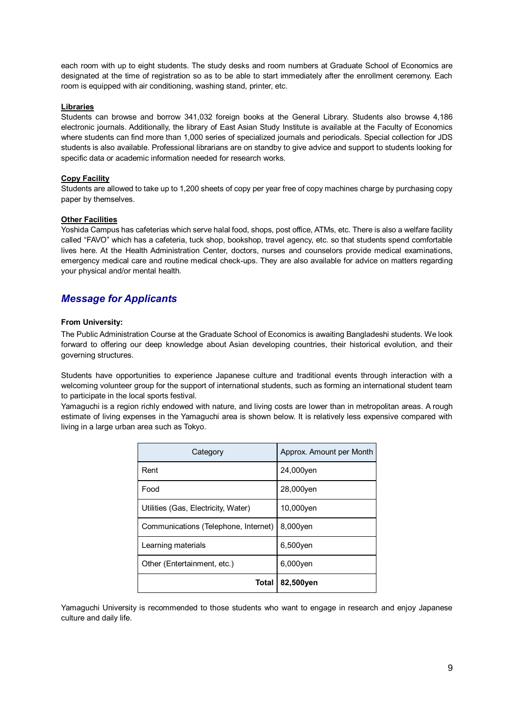each room with up to eight students. The study desks and room numbers at Graduate School of Economics are designated at the time of registration so as to be able to start immediately after the enrollment ceremony. Each room is equipped with air conditioning, washing stand, printer, etc.

#### **Libraries**

Students can browse and borrow 341,032 foreign books at the General Library. Students also browse 4,186 electronic journals. Additionally, the library of East Asian Study Institute is available at the Faculty of Economics where students can find more than 1,000 series of specialized journals and periodicals. Special collection for JDS students is also available. Professional librarians are on standby to give advice and support to students looking for specific data or academic information needed for research works.

#### **Copy Facility**

Students are allowed to take up to 1,200 sheets of copy per year free of copy machines charge by purchasing copy paper by themselves.

#### **Other Facilities**

Yoshida Campus has cafeterias which serve halal food, shops, post office, ATMs, etc. There is also a welfare facility called "FAVO" which has a cafeteria, tuck shop, bookshop, travel agency, etc. so that students spend comfortable lives here. At the Health Administration Center, doctors, nurses and counselors provide medical examinations, emergency medical care and routine medical check-ups. They are also available for advice on matters regarding your physical and/or mental health.

# *Message for Applicants*

#### **From University:**

The Public Administration Course at the Graduate School of Economics is awaiting Bangladeshi students. We look forward to offering our deep knowledge about Asian developing countries, their historical evolution, and their governing structures.

Students have opportunities to experience Japanese culture and traditional events through interaction with a welcoming volunteer group for the support of international students, such as forming an international student team to participate in the local sports festival.

Yamaguchi is a region richly endowed with nature, and living costs are lower than in metropolitan areas. A rough estimate of living expenses in the Yamaguchi area is shown below. It is relatively less expensive compared with living in a large urban area such as Tokyo.

| Category                             | Approx. Amount per Month |
|--------------------------------------|--------------------------|
| Rent                                 | 24,000yen                |
| Food                                 | 28,000yen                |
| Utilities (Gas, Electricity, Water)  | 10,000yen                |
| Communications (Telephone, Internet) | 8,000yen                 |
| Learning materials                   | 6,500yen                 |
| Other (Entertainment, etc.)          | $6,000$ ven              |
| Total                                | 82,500yen                |

Yamaguchi University is recommended to those students who want to engage in research and enjoy Japanese culture and daily life.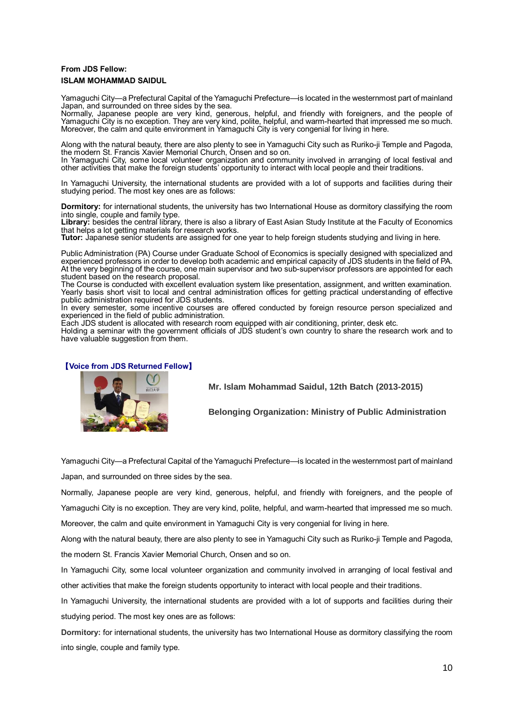## **From JDS Fellow: ISLAM MOHAMMAD SAIDUL**

Yamaguchi City—a Prefectural Capital of the Yamaguchi Prefecture—is located in the westernmost part of mainland Japan, and surrounded on three sides by the sea.

Normally, Japanese people are very kind, generous, helpful, and friendly with foreigners, and the people of Yamaguchi City is no exception. They are very kind, polite, helpful, and warm-hearted that impressed me so much. Moreover, the calm and quite environment in Yamaguchi City is very congenial for living in here.

Along with the natural beauty, there are also plenty to see in Yamaguchi City such as Ruriko-ji Temple and Pagoda, the modern St. Francis Xavier Memorial Church, Onsen and so on.

In Yamaguchi City, some local volunteer organization and community involved in arranging of local festival and other activities that make the foreign students' opportunity to interact with local people and their traditions.

In Yamaguchi University, the international students are provided with a lot of supports and facilities during their studying period. The most key ones are as follows:

**Dormitory:** for international students, the university has two International House as dormitory classifying the room into single, couple and family type.

**Library:** besides the central library, there is also a library of East Asian Study Institute at the Faculty of Economics that helps a lot getting materials for research works.

**Tutor:** Japanese senior students are assigned for one year to help foreign students studying and living in here.

Public Administration (PA) Course under Graduate School of Economics is specially designed with specialized and experienced professors in order to develop both academic and empirical capacity of JDS students in the field of PA. At the very beginning of the course, one main supervisor and two sub-supervisor professors are appointed for each student based on the research proposal.

The Course is conducted with excellent evaluation system like presentation, assignment, and written examination. Yearly basis short visit to local and central administration offices for getting practical understanding of effective public administration required for JDS students.

In every semester, some incentive courses are offered conducted by foreign resource person specialized and experienced in the field of public administration.

Each JDS student is allocated with research room equipped with air conditioning, printer, desk etc.

Holding a seminar with the government officials of JDS student's own country to share the research work and to have valuable suggestion from them.

### 【**Voice from JDS Returned Fellow**】



**Mr. Islam Mohammad Saidul, 12th Batch (2013-2015)**

**Belonging Organization: Ministry of Public Administration**

Yamaguchi City—a Prefectural Capital of the Yamaguchi Prefecture—is located in the westernmost part of mainland Japan, and surrounded on three sides by the sea.

Normally, Japanese people are very kind, generous, helpful, and friendly with foreigners, and the people of Yamaguchi City is no exception. They are very kind, polite, helpful, and warm-hearted that impressed me so much.

Moreover, the calm and quite environment in Yamaguchi City is very congenial for living in here.

Along with the natural beauty, there are also plenty to see in Yamaguchi City such as Ruriko-ji Temple and Pagoda, the modern St. Francis Xavier Memorial Church, Onsen and so on.

In Yamaguchi City, some local volunteer organization and community involved in arranging of local festival and other activities that make the foreign students opportunity to interact with local people and their traditions.

In Yamaguchi University, the international students are provided with a lot of supports and facilities during their studying period. The most key ones are as follows:

**Dormitory:** for international students, the university has two International House as dormitory classifying the room into single, couple and family type.